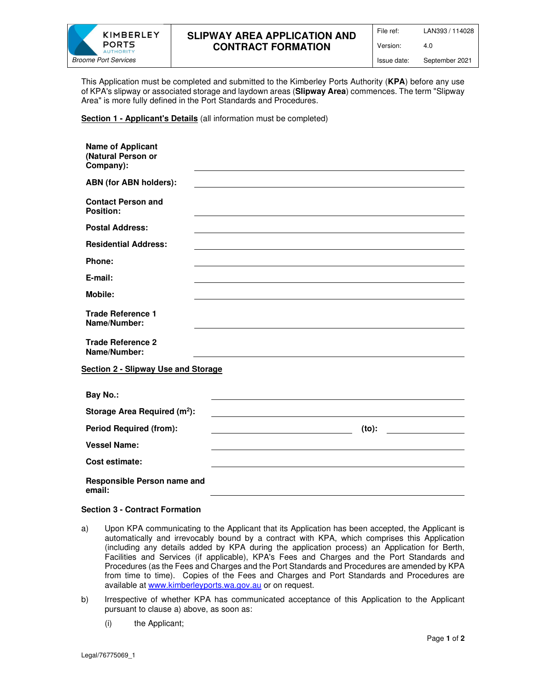

# **SLIPWAY AREA APPLICATION AND CONTRACT FORMATION**

File ref: LAN393 / 114028

Version: 4.0

This Application must be completed and submitted to the Kimberley Ports Authority (**KPA**) before any use of KPA's slipway or associated storage and laydown areas (**Slipway Area**) commences. The term "Slipway Area" is more fully defined in the Port Standards and Procedures.

## **Section 1 - Applicant's Details** (all information must be completed)

| <b>Name of Applicant</b><br>(Natural Person or<br>Company): |       |  |
|-------------------------------------------------------------|-------|--|
| ABN (for ABN holders):                                      |       |  |
| <b>Contact Person and</b><br>Position:                      |       |  |
| <b>Postal Address:</b>                                      |       |  |
| <b>Residential Address:</b>                                 |       |  |
| Phone:                                                      |       |  |
| E-mail:                                                     |       |  |
| <b>Mobile:</b>                                              |       |  |
| <b>Trade Reference 1</b><br>Name/Number:                    |       |  |
| <b>Trade Reference 2</b><br>Name/Number:                    |       |  |
| <b>Section 2 - Slipway Use and Storage</b>                  |       |  |
| <b>Bay No.:</b>                                             |       |  |
| Storage Area Required (m <sup>2</sup> ):                    |       |  |
| <b>Period Required (from):</b>                              | (to): |  |
| <b>Vessel Name:</b>                                         |       |  |
| Cost estimate:                                              |       |  |
| Responsible Person name and<br>email:                       |       |  |

## **Section 3 - Contract Formation**

- a) Upon KPA communicating to the Applicant that its Application has been accepted, the Applicant is automatically and irrevocably bound by a contract with KPA, which comprises this Application (including any details added by KPA during the application process) an Application for Berth, Facilities and Services (if applicable), KPA's Fees and Charges and the Port Standards and Procedures (as the Fees and Charges and the Port Standards and Procedures are amended by KPA from time to time). Copies of the Fees and Charges and Port Standards and Procedures are available at www.kimberleyports.wa.gov.au or on request.
- b) Irrespective of whether KPA has communicated acceptance of this Application to the Applicant pursuant to clause a) above, as soon as:
	- (i) the Applicant;